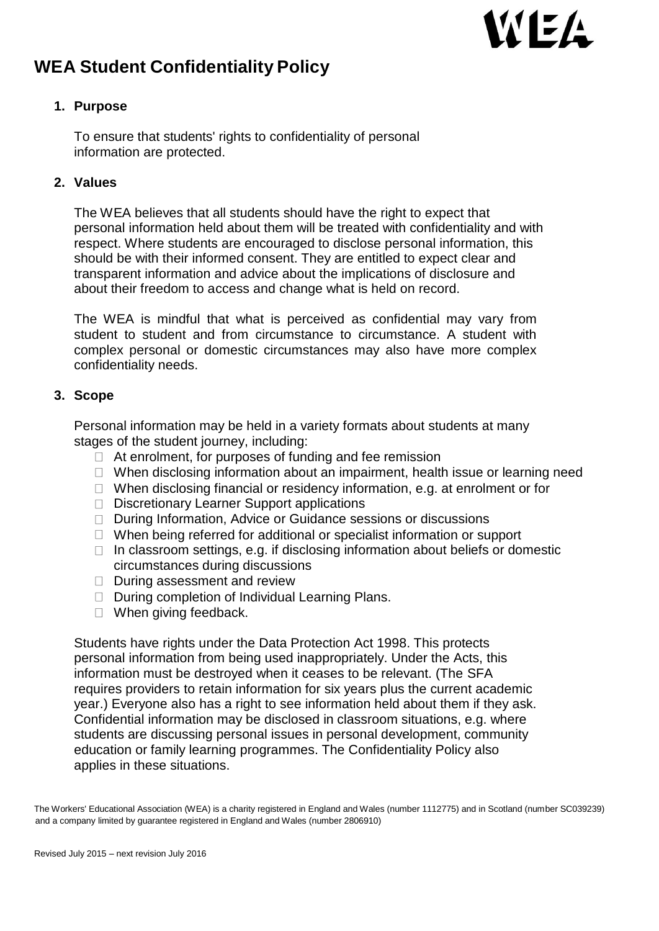# WEA

# **WEA Student Confidentiality Policy**

# **1. Purpose**

To ensure that students' rights to confidentiality of personal information are protected.

# **2. Values**

The WEA believes that all students should have the right to expect that personal information held about them will be treated with confidentiality and with respect. Where students are encouraged to disclose personal information, this should be with their informed consent. They are entitled to expect clear and transparent information and advice about the implications of disclosure and about their freedom to access and change what is held on record.

The WEA is mindful that what is perceived as confidential may vary from student to student and from circumstance to circumstance. A student with complex personal or domestic circumstances may also have more complex confidentiality needs.

### **3. Scope**

Personal information may be held in a variety formats about students at many stages of the student journey, including:

- $\Box$  At enrolment, for purposes of funding and fee remission
- $\Box$  When disclosing information about an impairment, health issue or learning need
- $\Box$  When disclosing financial or residency information, e.g. at enrolment or for
- D Discretionary Learner Support applications
- □ During Information, Advice or Guidance sessions or discussions
- $\Box$  When being referred for additional or specialist information or support
- $\Box$  In classroom settings, e.g. if disclosing information about beliefs or domestic circumstances during discussions
- $\Box$  During assessment and review
- □ During completion of Individual Learning Plans.
- $\Box$  When giving feedback.

Students have rights under the Data Protection Act 1998. This protects personal information from being used inappropriately. Under the Acts, this information must be destroyed when it ceases to be relevant. (The SFA requires providers to retain information for six years plus the current academic year.) Everyone also has a right to see information held about them if they ask. Confidential information may be disclosed in classroom situations, e.g. where students are discussing personal issues in personal development, community education or family learning programmes. The Confidentiality Policy also applies in these situations.

The Workers' Educational Association (WEA) is a charity registered in England and Wales (number 1112775) and in Scotland (number SC039239) and a company limited by guarantee registered in England and Wales (number 2806910)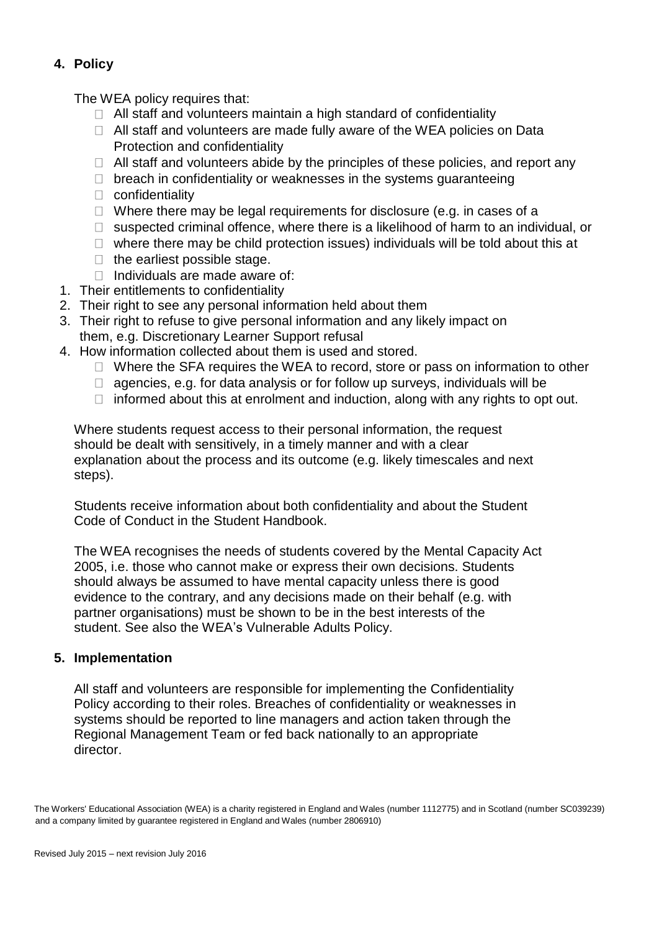# **4. Policy**

The WEA policy requires that:

- $\Box$  All staff and volunteers maintain a high standard of confidentiality
- $\Box$  All staff and volunteers are made fully aware of the WEA policies on Data Protection and confidentiality
- $\Box$  All staff and volunteers abide by the principles of these policies, and report any
- $\Box$  breach in confidentiality or weaknesses in the systems quaranteeing
- $\Box$  confidentiality
- $\Box$  Where there may be legal requirements for disclosure (e.g. in cases of a
- $\Box$  suspected criminal offence, where there is a likelihood of harm to an individual, or
- $\Box$  where there may be child protection issues) individuals will be told about this at
- $\Box$  the earliest possible stage.
- $\Box$  Individuals are made aware of:
- 1. Their entitlements to confidentiality
- 2. Their right to see any personal information held about them
- 3. Their right to refuse to give personal information and any likely impact on them, e.g. Discretionary Learner Support refusal
- 4. How information collected about them is used and stored.
	- $\Box$  Where the SFA requires the WEA to record, store or pass on information to other
	- $\Box$  agencies, e.g. for data analysis or for follow up surveys, individuals will be
	- $\Box$  informed about this at enrolment and induction, along with any rights to opt out.

Where students request access to their personal information, the request should be dealt with sensitively, in a timely manner and with a clear explanation about the process and its outcome (e.g. likely timescales and next steps).

Students receive information about both confidentiality and about the Student Code of Conduct in the Student Handbook.

The WEA recognises the needs of students covered by the Mental Capacity Act 2005, i.e. those who cannot make or express their own decisions. Students should always be assumed to have mental capacity unless there is good evidence to the contrary, and any decisions made on their behalf (e.g. with partner organisations) must be shown to be in the best interests of the student. See also the WEA's Vulnerable Adults Policy.

### **5. Implementation**

All staff and volunteers are responsible for implementing the Confidentiality Policy according to their roles. Breaches of confidentiality or weaknesses in systems should be reported to line managers and action taken through the Regional Management Team or fed back nationally to an appropriate director.

The Workers' Educational Association (WEA) is a charity registered in England and Wales (number 1112775) and in Scotland (number SC039239) and a company limited by guarantee registered in England and Wales (number 2806910)